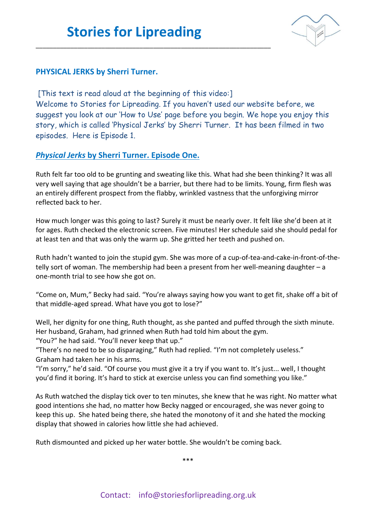\_\_\_\_\_\_\_\_\_\_\_\_\_\_\_\_\_\_\_\_\_\_\_\_\_\_\_\_\_\_\_\_\_\_\_\_\_\_\_\_\_\_\_\_\_\_\_\_\_\_\_\_\_\_\_\_\_\_\_\_\_\_\_\_\_\_\_\_



## **PHYSICAL JERKS by Sherri Turner.**

[This text is read aloud at the beginning of this video:] Welcome to Stories for Lipreading. If you haven't used our website before, we suggest you look at our 'How to Use' page before you begin. We hope you enjoy this story, which is called 'Physical Jerks' by Sherri Turner. It has been filmed in two episodes. Here is Episode 1.

## *Physical Jerks* **by Sherri Turner. Episode One.**

Ruth felt far too old to be grunting and sweating like this. What had she been thinking? It was all very well saying that age shouldn't be a barrier, but there had to be limits. Young, firm flesh was an entirely different prospect from the flabby, wrinkled vastness that the unforgiving mirror reflected back to her.

How much longer was this going to last? Surely it must be nearly over. It felt like she'd been at it for ages. Ruth checked the electronic screen. Five minutes! Her schedule said she should pedal for at least ten and that was only the warm up. She gritted her teeth and pushed on.

Ruth hadn't wanted to join the stupid gym. She was more of a cup-of-tea-and-cake-in-front-of-thetelly sort of woman. The membership had been a present from her well-meaning daughter – a one-month trial to see how she got on.

"Come on, Mum," Becky had said. "You're always saying how you want to get fit, shake off a bit of that middle-aged spread. What have you got to lose?"

Well, her dignity for one thing, Ruth thought, as she panted and puffed through the sixth minute. Her husband, Graham, had grinned when Ruth had told him about the gym. "You?" he had said. "You'll never keep that up."

"There's no need to be so disparaging," Ruth had replied. "I'm not completely useless." Graham had taken her in his arms.

"I'm sorry," he'd said. "Of course you must give it a try if you want to. It's just... well, I thought you'd find it boring. It's hard to stick at exercise unless you can find something you like."

As Ruth watched the display tick over to ten minutes, she knew that he was right. No matter what good intentions she had, no matter how Becky nagged or encouraged, she was never going to keep this up. She hated being there, she hated the monotony of it and she hated the mocking display that showed in calories how little she had achieved.

Ruth dismounted and picked up her water bottle. She wouldn't be coming back.

\*\*\*